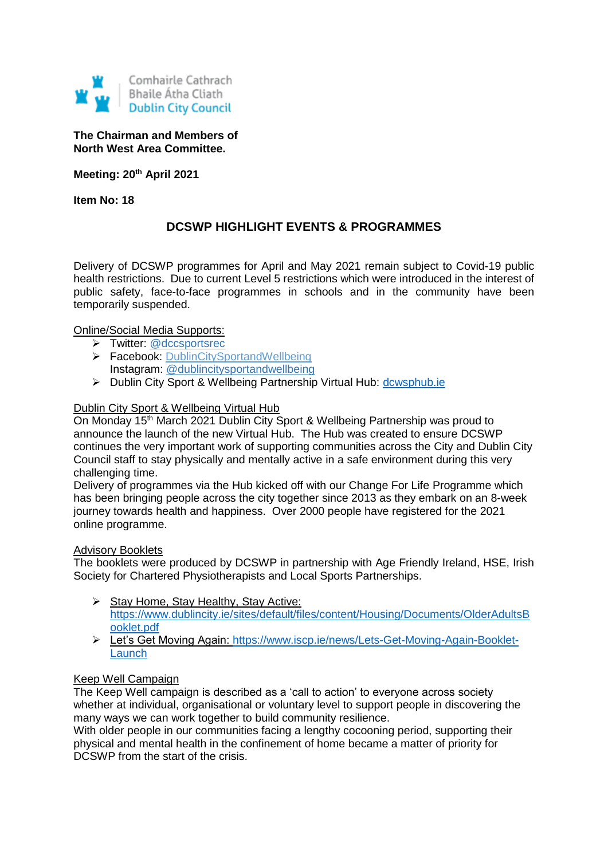

**The Chairman and Members of North West Area Committee.**

**Meeting: 20th April 2021**

**Item No: 18**

# **DCSWP HIGHLIGHT EVENTS & PROGRAMMES**

Delivery of DCSWP programmes for April and May 2021 remain subject to Covid-19 public health restrictions. Due to current Level 5 restrictions which were introduced in the interest of public safety, face-to-face programmes in schools and in the community have been temporarily suspended.

# Online/Social Media Supports:

- > Twitter: [@dccsportsrec](https://twitter.com/dccsportsrec)
- > Facebook: [DublinCitySportandWellbeing](https://www.facebook.com/DublinCitySportandWellbeingPartnership/) Instagram: @dublincitysportandwellbeing
- > Dublin City Sport & Wellbeing Partnership Virtual Hub: [dcwsphub.ie](http://www.dcswphub.ie/)

#### Dublin City Sport & Wellbeing Virtual Hub

On Monday 15th March 2021 Dublin City Sport & Wellbeing Partnership was proud to announce the launch of the new Virtual Hub. The Hub was created to ensure DCSWP continues the very important work of supporting communities across the City and Dublin City Council staff to stay physically and mentally active in a safe environment during this very challenging time.

Delivery of programmes via the Hub kicked off with our Change For Life Programme which has been bringing people across the city together since 2013 as they embark on an 8-week journey towards health and happiness. Over 2000 people have registered for the 2021 online programme.

#### **Advisory Booklets**

The booklets were produced by DCSWP in partnership with Age Friendly Ireland, HSE, Irish Society for Chartered Physiotherapists and Local Sports Partnerships.

- Stay Home, Stay Healthy, Stay Active: [https://www.dublincity.ie/sites/default/files/content/Housing/Documents/OlderAdultsB](https://www.dublincity.ie/sites/default/files/content/Housing/Documents/OlderAdultsBooklet.pdf) [ooklet.pdf](https://www.dublincity.ie/sites/default/files/content/Housing/Documents/OlderAdultsBooklet.pdf)
- Let's Get Moving Again: [https://www.iscp.ie/news/Lets-Get-Moving-Again-Booklet-](https://www.iscp.ie/news/Lets-Get-Moving-Again-Booklet-Launch)[Launch](https://www.iscp.ie/news/Lets-Get-Moving-Again-Booklet-Launch)

#### Keep Well Campaign

The Keep Well campaign is described as a 'call to action' to everyone across society whether at individual, organisational or voluntary level to support people in discovering the many ways we can work together to build community resilience.

With older people in our communities facing a lengthy cocooning period, supporting their physical and mental health in the confinement of home became a matter of priority for DCSWP from the start of the crisis.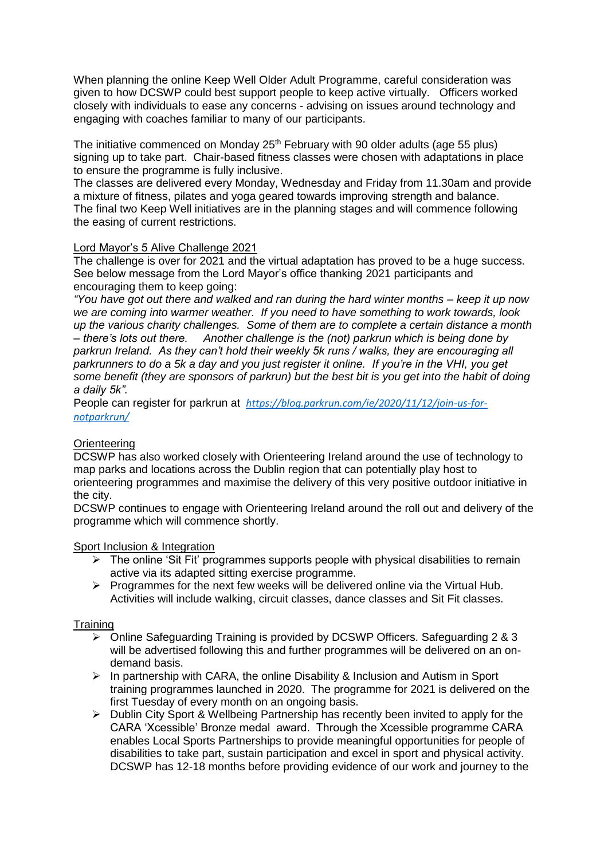When planning the online Keep Well Older Adult Programme, careful consideration was given to how DCSWP could best support people to keep active virtually. Officers worked closely with individuals to ease any concerns - advising on issues around technology and engaging with coaches familiar to many of our participants.

The initiative commenced on Monday 25<sup>th</sup> February with 90 older adults (age 55 plus) signing up to take part. Chair-based fitness classes were chosen with adaptations in place to ensure the programme is fully inclusive.

The classes are delivered every Monday, Wednesday and Friday from 11.30am and provide a mixture of fitness, pilates and yoga geared towards improving strength and balance. The final two Keep Well initiatives are in the planning stages and will commence following the easing of current restrictions.

# Lord Mayor's 5 Alive Challenge 2021

The challenge is over for 2021 and the virtual adaptation has proved to be a huge success. See below message from the Lord Mayor's office thanking 2021 participants and encouraging them to keep going:

*"You have got out there and walked and ran during the hard winter months – keep it up now we are coming into warmer weather. If you need to have something to work towards, look up the various charity challenges. Some of them are to complete a certain distance a month – there's lots out there. Another challenge is the (not) parkrun which is being done by parkrun Ireland. As they can't hold their weekly 5k runs / walks, they are encouraging all parkrunners to do a 5k a day and you just register it online. If you're in the VHI, you get some benefit (they are sponsors of parkrun) but the best bit is you get into the habit of doing a daily 5k".* 

People can register for parkrun at *[https://blog.parkrun.com/ie/2020/11/12/join-us-for](https://eur02.safelinks.protection.outlook.com/?url=https%3A%2F%2Fblog.parkrun.com%2Fie%2F2020%2F11%2F12%2Fjoin-us-for-notparkrun%2F&data=04%7C01%7Cjane.higgins%40fsunion.org%7C825d2502592942bedbf308d8f03ac724%7Cdd386821be7e48ef82d3d3e8abc6b8d8%7C0%7C0%7C637523482539245850%7CUnknown%7CTWFpbGZsb3d8eyJWIjoiMC4wLjAwMDAiLCJQIjoiV2luMzIiLCJBTiI6Ik1haWwiLCJXVCI6Mn0%3D%7C1000&sdata=GoaX9aRv7uWVkkn7uHqItsbnSkkMKPEF%2BWKPo0qf4tY%3D&reserved=0)[notparkrun/](https://eur02.safelinks.protection.outlook.com/?url=https%3A%2F%2Fblog.parkrun.com%2Fie%2F2020%2F11%2F12%2Fjoin-us-for-notparkrun%2F&data=04%7C01%7Cjane.higgins%40fsunion.org%7C825d2502592942bedbf308d8f03ac724%7Cdd386821be7e48ef82d3d3e8abc6b8d8%7C0%7C0%7C637523482539245850%7CUnknown%7CTWFpbGZsb3d8eyJWIjoiMC4wLjAwMDAiLCJQIjoiV2luMzIiLCJBTiI6Ik1haWwiLCJXVCI6Mn0%3D%7C1000&sdata=GoaX9aRv7uWVkkn7uHqItsbnSkkMKPEF%2BWKPo0qf4tY%3D&reserved=0)* 

# **Orienteering**

DCSWP has also worked closely with Orienteering Ireland around the use of technology to map parks and locations across the Dublin region that can potentially play host to orienteering programmes and maximise the delivery of this very positive outdoor initiative in the city.

DCSWP continues to engage with Orienteering Ireland around the roll out and delivery of the programme which will commence shortly.

# Sport Inclusion & Integration

- $\triangleright$  The online 'Sit Fit' programmes supports people with physical disabilities to remain active via its adapted sitting exercise programme.
- $\triangleright$  Programmes for the next few weeks will be delivered online via the Virtual Hub. Activities will include walking, circuit classes, dance classes and Sit Fit classes.

# **Training**

- $\geq$  Online Safeguarding Training is provided by DCSWP Officers. Safeguarding 2 & 3 will be advertised following this and further programmes will be delivered on an ondemand basis.
- $\triangleright$  In partnership with CARA, the online Disability & Inclusion and Autism in Sport training programmes launched in 2020. The programme for 2021 is delivered on the first Tuesday of every month on an ongoing basis.
- $\triangleright$  Dublin City Sport & Wellbeing Partnership has recently been invited to apply for the CARA 'Xcessible' Bronze medal award. Through the Xcessible programme CARA enables Local Sports Partnerships to provide meaningful opportunities for people of disabilities to take part, sustain participation and excel in sport and physical activity. DCSWP has 12-18 months before providing evidence of our work and journey to the